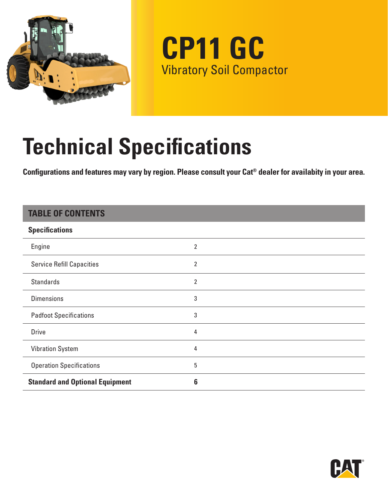

**CP11 GC** Vibratory Soil Compactor

# **Technical Specifications**

**Configurations and features may vary by region. Please consult your Cat® dealer for availabity in your area.**

### **TABLE OF CONTENTS**

| <b>Specifications</b>                  |                |
|----------------------------------------|----------------|
| Engine                                 | 2              |
| <b>Service Refill Capacities</b>       | 2              |
| <b>Standards</b>                       | $\overline{2}$ |
| <b>Dimensions</b>                      | 3              |
| <b>Padfoot Specifications</b>          | 3              |
| <b>Drive</b>                           | 4              |
| <b>Vibration System</b>                | 4              |
| <b>Operation Specifications</b>        | 5              |
| <b>Standard and Optional Equipment</b> | 6              |

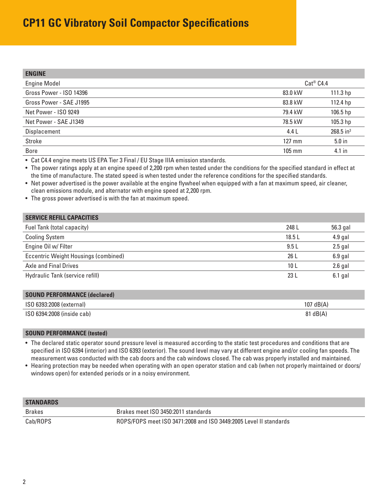## <span id="page-1-0"></span>**CP11 GC Vibratory Soil Compactor Specifications**

| <b>ENGINE</b>           |                       |                         |
|-------------------------|-----------------------|-------------------------|
| <b>Engine Model</b>     | Cat <sup>®</sup> C4.4 |                         |
| Gross Power - ISO 14396 | 83.0 kW               | 111.3 hp                |
| Gross Power - SAE J1995 | 83.8 kW               | 112.4 hp                |
| Net Power - ISO 9249    | 79.4 kW               | 106.5 hp                |
| Net Power - SAE J1349   | 78.5 kW               | 105.3 hp                |
| Displacement            | 4.4 L                 | $268.5$ in <sup>3</sup> |
| Stroke                  | 127 mm                | $5.0$ in                |
| <b>Bore</b>             | 105 mm                | 4.1 in                  |

• Cat C4.4 engine meets US EPA Tier 3 Final / EU Stage IIIA emission standards.

• The power ratings apply at an engine speed of 2,200 rpm when tested under the conditions for the specified standard in effect at the time of manufacture. The stated speed is when tested under the reference conditions for the specified standards.

• Net power advertised is the power available at the engine flywheel when equipped with a fan at maximum speed, air cleaner, clean emissions module, and alternator with engine speed at 2,200 rpm.

• The gross power advertised is with the fan at maximum speed.

| <b>SERVICE REFILL CAPACITIES</b>     |       |           |
|--------------------------------------|-------|-----------|
| Fuel Tank (total capacity)           | 248 L | 56.3 gal  |
| <b>Cooling System</b>                | 18.5L | $4.9$ gal |
| Engine Oil w/ Filter                 | 9.5L  | $2.5$ gal |
| Eccentric Weight Housings (combined) | 26 L  | $6.9$ gal |
| Axle and Final Drives                | 10 L  | $2.6$ gal |
| Hydraulic Tank (service refill)      | 23L   | $6.1$ gal |

| <b>SOUND PERFORMANCE (declared)</b> |                    |
|-------------------------------------|--------------------|
| ISO 6393:2008 (external)            | $107$ dB(A)        |
| ISO 6394:2008 (inside cab)          | $81 \text{ dB}(A)$ |

#### **SOUND PERFORMANCE (tested)**

• The declared static operator sound pressure level is measured according to the static test procedures and conditions that are specified in ISO 6394 (interior) and ISO 6393 (exterior). The sound level may vary at different engine and/or cooling fan speeds. The measurement was conducted with the cab doors and the cab windows closed. The cab was properly installed and maintained.

• Hearing protection may be needed when operating with an open operator station and cab (when not properly maintained or doors/ windows open) for extended periods or in a noisy environment.

| <b>STANDARDS</b> |                                                                   |
|------------------|-------------------------------------------------------------------|
| Brakes           | Brakes meet ISO 3450:2011 standards                               |
| Cab/ROPS         | ROPS/FOPS meet ISO 3471:2008 and ISO 3449:2005 Level II standards |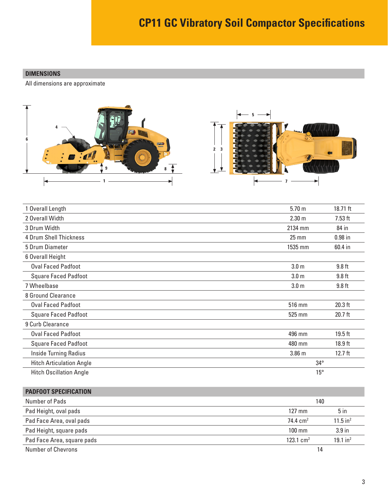#### <span id="page-2-0"></span>**DIMENSIONS**

All dimensions are approximate



| 1 Overall Length                | 5.70 <sub>m</sub> | 18.71 ft  |
|---------------------------------|-------------------|-----------|
| 2 Overall Width                 | 2.30 <sub>m</sub> | $7.53$ ft |
| 3 Drum Width                    | 2134 mm           | 84 in     |
| 4 Drum Shell Thickness          | $25 \, \text{mm}$ | $0.98$ in |
| 5 Drum Diameter                 | 1535 mm           | 60.4 in   |
| 6 Overall Height                |                   |           |
| <b>Oval Faced Padfoot</b>       | 3.0 <sub>m</sub>  | $9.8$ ft  |
| <b>Square Faced Padfoot</b>     | 3.0 <sub>m</sub>  | $9.8$ ft  |
| 7 Wheelbase                     | 3.0 <sub>m</sub>  | $9.8$ ft  |
| 8 Ground Clearance              |                   |           |
| <b>Oval Faced Padfoot</b>       | 516 mm            | $20.3$ ft |
| <b>Square Faced Padfoot</b>     | 525 mm            | 20.7 ft   |
| 9 Curb Clearance                |                   |           |
| <b>Oval Faced Padfoot</b>       | 496 mm            | $19.5$ ft |
| <b>Square Faced Padfoot</b>     | 480 mm            | $18.9$ ft |
| <b>Inside Turning Radius</b>    | 3.86 m            | $12.7$ ft |
| <b>Hitch Articulation Angle</b> | $34^{\circ}$      |           |
| <b>Hitch Oscillation Angle</b>  | $15^{\circ}$      |           |

| <b>PADFOOT SPECIFICATION</b> |                     |                        |
|------------------------------|---------------------|------------------------|
| Number of Pads               | 140                 |                        |
| Pad Height, oval pads        | $127 \text{ mm}$    | 5 <sub>in</sub>        |
| Pad Face Area, oval pads     | $74.4 \text{ cm}^2$ | $11.5$ in <sup>2</sup> |
| Pad Height, square pads      | $100$ mm            | 3.9 <sub>in</sub>      |
| Pad Face Area, square pads   | 123.1 $cm2$         | $19.1$ in <sup>2</sup> |
| Number of Chevrons           | 14                  |                        |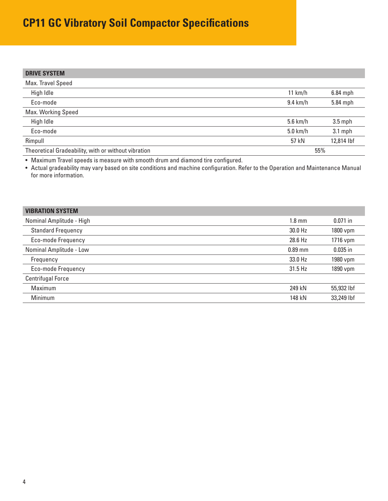## <span id="page-3-0"></span>**CP11 GC Vibratory Soil Compactor Specifications**

| <b>DRIVE SYSTEM</b>                                 |                    |            |
|-----------------------------------------------------|--------------------|------------|
| Max. Travel Speed                                   |                    |            |
| High Idle                                           | 11 km/h            | $6.84$ mph |
| Eco-mode                                            | $9.4 \text{ km/h}$ | 5.84 mph   |
| Max. Working Speed                                  |                    |            |
| High Idle                                           | $5.6$ km/h         | $3.5$ mph  |
| Eco-mode                                            | $5.0$ km/h         | $3.1$ mph  |
| Rimpull                                             | 57 kN              | 12,814 lbf |
| Theoretical Gradeability, with or without vibration |                    | 55%        |

• Maximum Travel speeds is measure with smooth drum and diamond tire configured.

• Actual gradeability may vary based on site conditions and machine configuration. Refer to the Operation and Maintenance Manual for more information.

| <b>VIBRATION SYSTEM</b>   |                  |            |
|---------------------------|------------------|------------|
| Nominal Amplitude - High  | $1.8 \text{ mm}$ | $0.071$ in |
| <b>Standard Frequency</b> | 30.0 Hz          | 1800 vpm   |
| Eco-mode Frequency        | 28.6 Hz          | 1716 vpm   |
| Nominal Amplitude - Low   | $0.89$ mm        | $0.035$ in |
| Frequency                 | 33.0 Hz          | 1980 vpm   |
| Eco-mode Frequency        | 31.5 Hz          | 1890 vpm   |
| <b>Centrifugal Force</b>  |                  |            |
| Maximum                   | 249 kN           | 55,932 lbf |
| Minimum                   | 148 kN           | 33,249 lbf |
|                           |                  |            |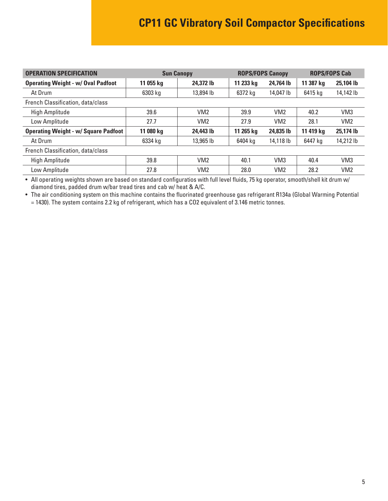<span id="page-4-0"></span>

| <b>OPERATION SPECIFICATION</b>              |           | <b>ROPS/FOPS Canopy</b><br><b>Sun Canopy</b> |           | <b>ROPS/FOPS Cab</b> |           |                 |
|---------------------------------------------|-----------|----------------------------------------------|-----------|----------------------|-----------|-----------------|
| <b>Operating Weight - w/ Oval Padfoot</b>   | 11 055 kg | 24.372 lb                                    | 11 233 kg | 24,764 lb            | 11 387 kg | 25,104 lb       |
| At Drum                                     | 6303 kg   | 13,894 lb                                    | 6372 kg   | 14,047 lb            | 6415 kg   | 14,142 lb       |
| French Classification, data/class           |           |                                              |           |                      |           |                 |
| <b>High Amplitude</b>                       | 39.6      | VM <sub>2</sub>                              | 39.9      | VM <sub>2</sub>      | 40.2      | VM <sub>3</sub> |
| Low Amplitude                               | 27.7      | VM <sub>2</sub>                              | 27.9      | VM <sub>2</sub>      | 28.1      | VM <sub>2</sub> |
| <b>Operating Weight - w/ Square Padfoot</b> | 11 080 kg | 24,443 lb                                    | 11 265 kg | 24,835 lb            | 11 419 kg | 25,174 lb       |
| At Drum                                     | 6334 kg   | 13,965 lb                                    | 6404 ka   | 14,118 lb            | 6447 ka   | 14,212 lb       |
| French Classification, data/class           |           |                                              |           |                      |           |                 |
| <b>High Amplitude</b>                       | 39.8      | VM2                                          | 40.1      | VM <sub>3</sub>      | 40.4      | VM <sub>3</sub> |
| Low Amplitude                               | 27.8      | VM <sub>2</sub>                              | 28.0      | VM <sub>2</sub>      | 28.2      | VM <sub>2</sub> |

• All operating weights shown are based on standard configuratios with full level fluids, 75 kg operator, smooth/shell kit drum w/ diamond tires, padded drum w/bar tread tires and cab w/ heat & A/C.

• The air conditioning system on this machine contains the fluorinated greenhouse gas refrigerant R134a (Global Warming Potential

= 1430). The system contains 2.2 kg of refrigerant, which has a CO2 equivalent of 3.146 metric tonnes.